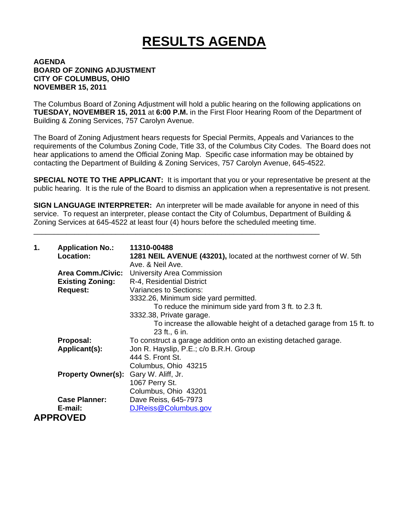## **RESULTS AGENDA**

## **AGENDA BOARD OF ZONING ADJUSTMENT CITY OF COLUMBUS, OHIO NOVEMBER 15, 2011**

The Columbus Board of Zoning Adjustment will hold a public hearing on the following applications on **TUESDAY, NOVEMBER 15, 2011** at **6:00 P.M.** in the First Floor Hearing Room of the Department of Building & Zoning Services, 757 Carolyn Avenue.

The Board of Zoning Adjustment hears requests for Special Permits, Appeals and Variances to the requirements of the Columbus Zoning Code, Title 33, of the Columbus City Codes. The Board does not hear applications to amend the Official Zoning Map. Specific case information may be obtained by contacting the Department of Building & Zoning Services, 757 Carolyn Avenue, 645-4522.

**SPECIAL NOTE TO THE APPLICANT:** It is important that you or your representative be present at the public hearing. It is the rule of the Board to dismiss an application when a representative is not present.

**SIGN LANGUAGE INTERPRETER:** An interpreter will be made available for anyone in need of this service. To request an interpreter, please contact the City of Columbus, Department of Building & Zoning Services at 645-4522 at least four (4) hours before the scheduled meeting time.

\_\_\_\_\_\_\_\_\_\_\_\_\_\_\_\_\_\_\_\_\_\_\_\_\_\_\_\_\_\_\_\_\_\_\_\_\_\_\_\_\_\_\_\_\_\_\_\_\_\_\_\_\_\_\_\_\_\_\_\_\_\_\_\_\_\_\_\_\_\_

| 1. | <b>Application No.:</b><br>Location:         | 11310-00488<br>1281 NEIL AVENUE (43201), located at the northwest corner of W. 5th<br>Ave. & Neil Ave. |
|----|----------------------------------------------|--------------------------------------------------------------------------------------------------------|
|    | <b>Area Comm./Civic:</b>                     | University Area Commission                                                                             |
|    | <b>Existing Zoning:</b>                      | R-4, Residential District                                                                              |
|    | <b>Request:</b>                              | Variances to Sections:                                                                                 |
|    |                                              | 3332.26, Minimum side yard permitted.                                                                  |
|    |                                              | To reduce the minimum side yard from 3 ft. to 2.3 ft.                                                  |
|    |                                              | 3332.38, Private garage.                                                                               |
|    |                                              | To increase the allowable height of a detached garage from 15 ft. to<br>23 ft., 6 in.                  |
|    | Proposal:                                    | To construct a garage addition onto an existing detached garage.                                       |
|    | Applicant(s):                                | Jon R. Hayslip, P.E.; c/o B.R.H. Group                                                                 |
|    |                                              | 444 S. Front St.                                                                                       |
|    |                                              | Columbus, Ohio 43215                                                                                   |
|    | <b>Property Owner(s):</b> Gary W. Aliff, Jr. |                                                                                                        |
|    |                                              | 1067 Perry St.                                                                                         |
|    |                                              | Columbus, Ohio 43201                                                                                   |
|    | <b>Case Planner:</b>                         | Dave Reiss, 645-7973                                                                                   |
|    | E-mail:                                      | DJReiss@Columbus.gov                                                                                   |
|    | <b>APPROVED</b>                              |                                                                                                        |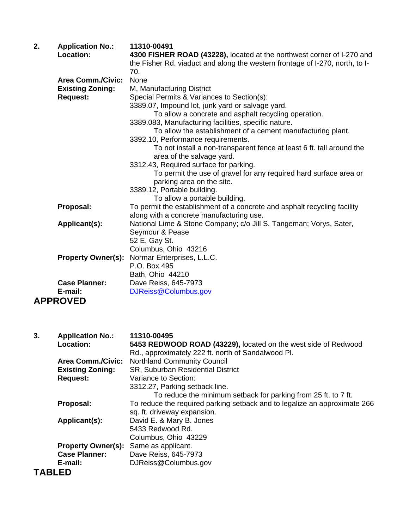| 2. | <b>Application No.:</b><br>Location: | 11310-00491<br>4300 FISHER ROAD (43228), located at the northwest corner of I-270 and<br>the Fisher Rd. viaduct and along the western frontage of I-270, north, to I-<br>70. |
|----|--------------------------------------|------------------------------------------------------------------------------------------------------------------------------------------------------------------------------|
|    | <b>Area Comm./Civic:</b>             | None                                                                                                                                                                         |
|    | <b>Existing Zoning:</b>              | M, Manufacturing District                                                                                                                                                    |
|    | <b>Request:</b>                      | Special Permits & Variances to Section(s):                                                                                                                                   |
|    |                                      | 3389.07, Impound lot, junk yard or salvage yard.                                                                                                                             |
|    |                                      | To allow a concrete and asphalt recycling operation.                                                                                                                         |
|    |                                      | 3389.083, Manufacturing facilities, specific nature.                                                                                                                         |
|    |                                      | To allow the establishment of a cement manufacturing plant.                                                                                                                  |
|    |                                      | 3392.10, Performance requirements.                                                                                                                                           |
|    |                                      | To not install a non-transparent fence at least 6 ft. tall around the                                                                                                        |
|    |                                      | area of the salvage yard.                                                                                                                                                    |
|    |                                      | 3312.43, Required surface for parking.                                                                                                                                       |
|    |                                      | To permit the use of gravel for any required hard surface area or                                                                                                            |
|    |                                      | parking area on the site.                                                                                                                                                    |
|    |                                      | 3389.12, Portable building.                                                                                                                                                  |
|    |                                      | To allow a portable building.                                                                                                                                                |
|    | Proposal:                            | To permit the establishment of a concrete and asphalt recycling facility                                                                                                     |
|    |                                      | along with a concrete manufacturing use.                                                                                                                                     |
|    | Applicant(s):                        | National Lime & Stone Company; c/o Jill S. Tangeman; Vorys, Sater,                                                                                                           |
|    |                                      | Seymour & Pease                                                                                                                                                              |
|    |                                      | 52 E. Gay St.                                                                                                                                                                |
|    |                                      | Columbus, Ohio 43216                                                                                                                                                         |
|    | <b>Property Owner(s):</b>            | Normar Enterprises, L.L.C.                                                                                                                                                   |
|    |                                      | P.O. Box 495                                                                                                                                                                 |
|    |                                      | Bath, Ohio 44210                                                                                                                                                             |
|    | <b>Case Planner:</b>                 | Dave Reiss, 645-7973                                                                                                                                                         |
|    | E-mail:                              | DJReiss@Columbus.gov                                                                                                                                                         |
|    | <b>APPROVED</b>                      |                                                                                                                                                                              |
|    |                                      |                                                                                                                                                                              |
|    |                                      |                                                                                                                                                                              |
|    |                                      |                                                                                                                                                                              |
| 3. | <b>Application No.:</b>              | 11310-00495                                                                                                                                                                  |
|    | Location:                            | 5453 REDWOOD ROAD (43229), located on the west side of Redwood                                                                                                               |
|    |                                      | Rd., approximately 222 ft. north of Sandalwood Pl.                                                                                                                           |
|    | <b>Area Comm./Civic:</b>             | <b>Northland Community Council</b>                                                                                                                                           |
|    | <b>Existing Zoning:</b>              | SR, Suburban Residential District                                                                                                                                            |
|    | <b>Request:</b>                      | Variance to Section:                                                                                                                                                         |
|    |                                      | 3312.27, Parking setback line.                                                                                                                                               |

To reduce the minimum setback for parking from 25 ft. to 7 ft. **Proposal:** To reduce the required parking setback and to legalize an approximate 266 sq. ft. driveway expansion. **Applicant(s):** David E. & Mary B. Jones

5433 Redwood Rd.

 Columbus, Ohio 43229 **Property Owner(s):** Same as applicant.<br>**Case Planner:** Dave Reiss, 645-79 Dave Reiss, 645-7973

**E-mail:** DJReiss@Columbus.gov

## **TABLED**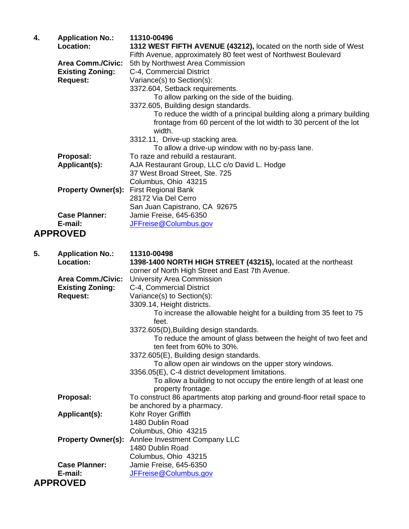| 4. | <b>Application No.:</b><br>Location: | 11310-00496<br>1312 WEST FIFTH AVENUE (43212), located on the north side of West<br>Fifth Avenue, approximately 80 feet west of Northwest Boulevard  |
|----|--------------------------------------|------------------------------------------------------------------------------------------------------------------------------------------------------|
|    | <b>Area Comm./Civic:</b>             | 5th by Northwest Area Commission                                                                                                                     |
|    | <b>Existing Zoning:</b>              | C-4, Commercial District                                                                                                                             |
|    | <b>Request:</b>                      | Variance(s) to Section(s):                                                                                                                           |
|    |                                      | 3372.604, Setback requirements.                                                                                                                      |
|    |                                      | To allow parking on the side of the buiding.                                                                                                         |
|    |                                      | 3372.605, Building design standards.                                                                                                                 |
|    |                                      | To reduce the width of a principal building along a primary building<br>frontage from 60 percent of the lot width to 30 percent of the lot<br>width. |
|    |                                      | 3312.11, Drive-up stacking area.<br>To allow a drive-up window with no by-pass lane.                                                                 |
|    | Proposal:                            | To raze and rebuild a restaurant.                                                                                                                    |
|    | Applicant(s):                        | AJA Restaurant Group, LLC c/o David L. Hodge                                                                                                         |
|    |                                      | 37 West Broad Street, Ste. 725                                                                                                                       |
|    |                                      | Columbus, Ohio 43215                                                                                                                                 |
|    | <b>Property Owner(s):</b>            | <b>First Regional Bank</b>                                                                                                                           |
|    |                                      | 28172 Via Del Cerro                                                                                                                                  |
|    |                                      | San Juan Capistrano, CA 92675                                                                                                                        |
|    | <b>Case Planner:</b>                 | Jamie Freise, 645-6350                                                                                                                               |
|    | E-mail:                              | JFFreise@Columbus.gov                                                                                                                                |
|    | <b>APPROVED</b>                      |                                                                                                                                                      |
| 5. | <b>Application No.:</b>              | 11310-00498                                                                                                                                          |
|    | Location:                            | 1398-1400 NORTH HIGH STREET (43215), located at the northeast                                                                                        |
|    |                                      | corner of North High Street and East 7th Avenue.                                                                                                     |
|    | <b>Area Comm./Civic:</b>             | <b>University Area Commission</b>                                                                                                                    |
|    | <b>Existing Zoning:</b>              | C-4, Commercial District                                                                                                                             |
|    | <b>Request:</b>                      | Variance(s) to Section(s):                                                                                                                           |
|    |                                      | 3309.14, Height districts.<br>To increase the allowable height for a building from 35 feet to 75<br>feet.                                            |
|    |                                      | 3372.605(D), Building design standards.                                                                                                              |
|    |                                      | To reduce the amount of glass between the height of two feet and<br>ten feet from 60% to 30%.                                                        |
|    |                                      | 3372.605(E), Building design standards.                                                                                                              |
|    |                                      | To allow open air windows on the upper story windows.                                                                                                |
|    |                                      | 3356.05(E), C-4 district development limitations.                                                                                                    |
|    |                                      | To allow a building to not occupy the entire length of at least one<br>property frontage.                                                            |
|    | Proposal:                            | To construct 86 apartments atop parking and ground-floor retail space to<br>be anchored by a pharmacy.                                               |
|    | Applicant(s):                        | Kohr Royer Griffith                                                                                                                                  |
|    |                                      | 1480 Dublin Road                                                                                                                                     |
|    |                                      | Columbus, Ohio 43215                                                                                                                                 |
|    | <b>Property Owner(s):</b>            | Anniee Investment Company LLC                                                                                                                        |
|    |                                      | 1480 Dublin Road                                                                                                                                     |
|    |                                      | Columbus, Ohio 43215                                                                                                                                 |
|    | <b>Case Planner:</b>                 | Jamie Freise, 645-6350                                                                                                                               |
|    | E-mail:                              | JFFreise@Columbus.gov                                                                                                                                |
|    | <b>APPROVED</b>                      |                                                                                                                                                      |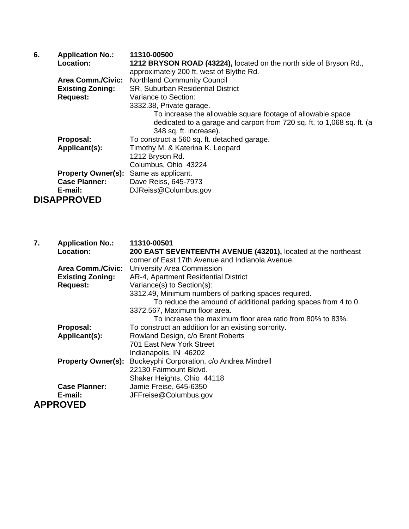| 6. | <b>Application No.:</b>   | 11310-00500                                                            |
|----|---------------------------|------------------------------------------------------------------------|
|    | Location:                 | 1212 BRYSON ROAD (43224), located on the north side of Bryson Rd.,     |
|    |                           | approximately 200 ft. west of Blythe Rd.                               |
|    | <b>Area Comm./Civic:</b>  | <b>Northland Community Council</b>                                     |
|    | <b>Existing Zoning:</b>   | SR, Suburban Residential District                                      |
|    | <b>Request:</b>           | Variance to Section:                                                   |
|    |                           | 3332.38, Private garage.                                               |
|    |                           | To increase the allowable square footage of allowable space            |
|    |                           | dedicated to a garage and carport from 720 sq. ft. to 1,068 sq. ft. (a |
|    |                           | 348 sq. ft. increase).                                                 |
|    | Proposal:                 | To construct a 560 sq. ft. detached garage.                            |
|    | Applicant(s):             | Timothy M. & Katerina K. Leopard                                       |
|    |                           | 1212 Bryson Rd.                                                        |
|    |                           | Columbus, Ohio 43224                                                   |
|    | <b>Property Owner(s):</b> | Same as applicant.                                                     |
|    | <b>Case Planner:</b>      | Dave Reiss, 645-7973                                                   |
|    | E-mail:                   | DJReiss@Columbus.gov                                                   |
|    | <b>DISAPPROVED</b>        |                                                                        |

| 7. | <b>Application No.:</b>   | 11310-00501                                                    |
|----|---------------------------|----------------------------------------------------------------|
|    | Location:                 | 200 EAST SEVENTEENTH AVENUE (43201), located at the northeast  |
|    |                           | corner of East 17th Avenue and Indianola Avenue.               |
|    | <b>Area Comm./Civic:</b>  | University Area Commission                                     |
|    | <b>Existing Zoning:</b>   | AR-4, Apartment Residential District                           |
|    | <b>Request:</b>           | Variance(s) to Section(s):                                     |
|    |                           | 3312.49, Minimum numbers of parking spaces required.           |
|    |                           | To reduce the amound of additional parking spaces from 4 to 0. |
|    |                           | 3372.567, Maximum floor area.                                  |
|    |                           | To increase the maximum floor area ratio from 80% to 83%.      |
|    | Proposal:                 | To construct an addition for an existing sorrority.            |
|    | Applicant(s):             | Rowland Design, c/o Brent Roberts                              |
|    |                           | 701 East New York Street                                       |
|    |                           | Indianapolis, IN 46202                                         |
|    | <b>Property Owner(s):</b> | Buckeyphi Corporation, c/o Andrea Mindrell                     |
|    |                           | 22130 Fairmount Bldvd.                                         |
|    |                           | Shaker Heights, Ohio 44118                                     |
|    | <b>Case Planner:</b>      | Jamie Freise, 645-6350                                         |
|    | E-mail:                   | JFFreise@Columbus.gov                                          |
|    | <b>APPROVED</b>           |                                                                |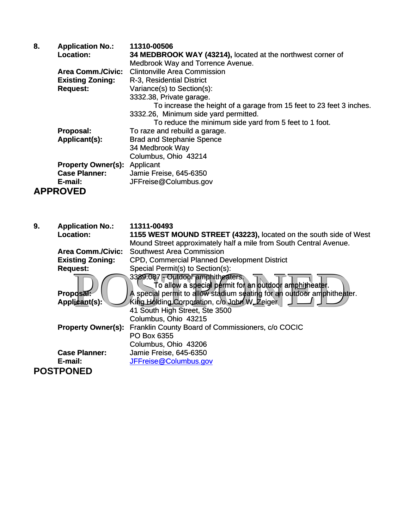| 8. | <b>Application No.:</b>             | 11310-00506                                                          |
|----|-------------------------------------|----------------------------------------------------------------------|
|    | <b>Location:</b>                    | 34 MEDBROOK WAY (43214), located at the northwest corner of          |
|    |                                     | Medbrook Way and Torrence Avenue.                                    |
|    | <b>Area Comm./Civic:</b>            | <b>Clintonville Area Commission</b>                                  |
|    | <b>Existing Zoning:</b>             | R-3, Residential District                                            |
|    | <b>Request:</b>                     | Variance(s) to Section(s):                                           |
|    |                                     | 3332.38, Private garage.                                             |
|    |                                     | To increase the height of a garage from 15 feet to 23 feet 3 inches. |
|    |                                     | 3332.26, Minimum side yard permitted.                                |
|    |                                     | To reduce the minimum side yard from 5 feet to 1 foot.               |
|    | Proposal:                           | To raze and rebuild a garage.                                        |
|    | Applicant(s):                       | <b>Brad and Stephanie Spence</b>                                     |
|    |                                     | 34 Medbrook Way                                                      |
|    |                                     | Columbus, Ohio 43214                                                 |
|    | <b>Property Owner(s): Applicant</b> |                                                                      |
|    | <b>Case Planner:</b>                | Jamie Freise, 645-6350                                               |
|    | E-mail:                             | JFFreise@Columbus.gov                                                |
|    | <b>APPROVED</b>                     |                                                                      |

| 9. | <b>Application No.:</b><br><b>Location:</b> | 11311-00493<br>1155 WEST MOUND STREET (43223), located on the south side of West                                                                                    |
|----|---------------------------------------------|---------------------------------------------------------------------------------------------------------------------------------------------------------------------|
|    |                                             | Mound Street approximately half a mile from South Central Avenue.<br><b>Southwest Area Commission</b>                                                               |
|    | <b>Area Comm./Civic:</b>                    |                                                                                                                                                                     |
|    | <b>Existing Zoning:</b>                     | <b>CPD, Commercial Planned Development District</b>                                                                                                                 |
|    | <b>Request:</b>                             | Special Permit(s) to Section(s):                                                                                                                                    |
|    | <b>Proposal:</b>                            | 3389.087 Dutdoor amphitheaters.<br>To allow a special permit for an outdodr amphitheater.<br>A special permit to allow stadium seating for an outdoor amphitheater. |
|    | Applicant(s):                               | King Holding Corporation, c/o Jobn W. Zeiger                                                                                                                        |
|    |                                             | 41 South High Street, Ste 3500                                                                                                                                      |
|    |                                             | Columbus, Ohio 43215                                                                                                                                                |
|    |                                             | <b>Property Owner(s):</b> Franklin County Board of Commissioners, c/o COCIC                                                                                         |
|    |                                             | PO Box 6355                                                                                                                                                         |
|    |                                             | Columbus, Ohio 43206                                                                                                                                                |
|    | <b>Case Planner:</b>                        | Jamie Freise, 645-6350                                                                                                                                              |
|    | E-mail:                                     | JFFreise@Columbus.gov                                                                                                                                               |
|    | <b>POSTPONED</b>                            |                                                                                                                                                                     |